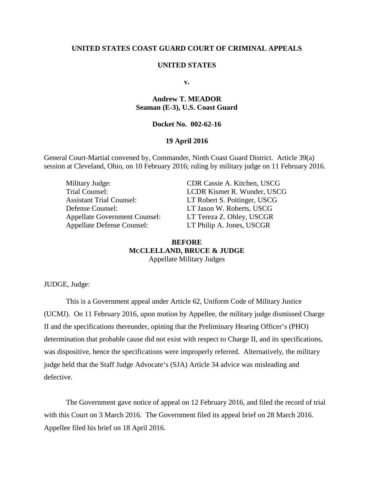### **UNITED STATES COAST GUARD COURT OF CRIMINAL APPEALS**

#### **UNITED STATES**

**v.**

# **Andrew T. MEADOR Seaman (E-3), U.S. Coast Guard**

## **Docket No. 002-62-16**

### **19 April 2016**

General Court-Martial convened by, Commander, Ninth Coast Guard District. Article 39(a) session at Cleveland, Ohio, on 10 February 2016; ruling by military judge on 11 February 2016.

Military Judge: CDR Cassie A. Kitchen, USCG Assistant Trial Counsel: LT Robert S. Poitinger, USCG Defense Counsel: LT Jason W. Roberts, USCG Appellate Government Counsel: LT Tereza Z. Ohley, USCGR Appellate Defense Counsel: LT Philip A. Jones, USCGR

Trial Counsel: LCDR Kismet R. Wunder, USCG

## **BEFORE MCCLELLAND, BRUCE & JUDGE** Appellate Military Judges

JUDGE, Judge:

This is a Government appeal under Article 62, Uniform Code of Military Justice (UCMJ). On 11 February 2016, upon motion by Appellee, the military judge dismissed Charge II and the specifications thereunder, opining that the Preliminary Hearing Officer's (PHO) determination that probable cause did not exist with respect to Charge II, and its specifications, was dispositive, hence the specifications were improperly referred. Alternatively, the military judge held that the Staff Judge Advocate's (SJA) Article 34 advice was misleading and defective.

The Government gave notice of appeal on 12 February 2016, and filed the record of trial with this Court on 3 March 2016. The Government filed its appeal brief on 28 March 2016. Appellee filed his brief on 18 April 2016.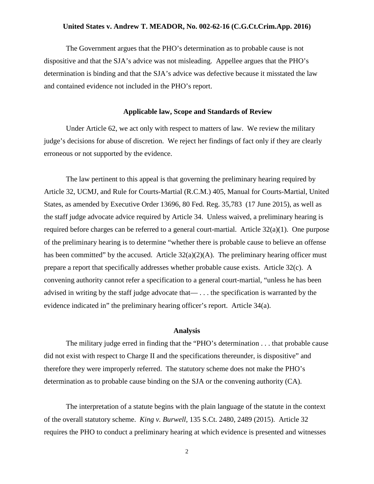### **United States v. Andrew T. MEADOR, No. 002-62-16 (C.G.Ct.Crim.App. 2016)**

The Government argues that the PHO's determination as to probable cause is not dispositive and that the SJA's advice was not misleading. Appellee argues that the PHO's determination is binding and that the SJA's advice was defective because it misstated the law and contained evidence not included in the PHO's report.

#### **Applicable law, Scope and Standards of Review**

Under Article 62, we act only with respect to matters of law. We review the military judge's decisions for abuse of discretion. We reject her findings of fact only if they are clearly erroneous or not supported by the evidence.

The law pertinent to this appeal is that governing the preliminary hearing required by Article 32, UCMJ, and Rule for Courts-Martial (R.C.M.) 405, Manual for Courts-Martial, United States, as amended by Executive Order 13696, 80 Fed. Reg. 35,783 (17 June 2015), as well as the staff judge advocate advice required by Article 34. Unless waived, a preliminary hearing is required before charges can be referred to a general court-martial. Article 32(a)(1). One purpose of the preliminary hearing is to determine "whether there is probable cause to believe an offense has been committed" by the accused. Article  $32(a)(2)(A)$ . The preliminary hearing officer must prepare a report that specifically addresses whether probable cause exists. Article 32(c). A convening authority cannot refer a specification to a general court-martial, "unless he has been advised in writing by the staff judge advocate that— . . . the specification is warranted by the evidence indicated in" the preliminary hearing officer's report. Article 34(a).

#### **Analysis**

The military judge erred in finding that the "PHO's determination . . . that probable cause did not exist with respect to Charge II and the specifications thereunder, is dispositive" and therefore they were improperly referred. The statutory scheme does not make the PHO's determination as to probable cause binding on the SJA or the convening authority (CA).

The interpretation of a statute begins with the plain language of the statute in the context of the overall statutory scheme. *King v. Burwell,* 135 S.Ct. 2480, 2489 (2015). Article 32 requires the PHO to conduct a preliminary hearing at which evidence is presented and witnesses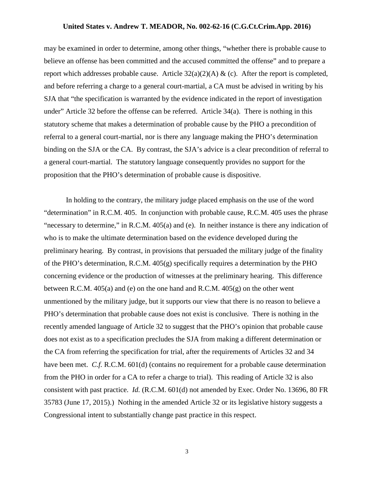### **United States v. Andrew T. MEADOR, No. 002-62-16 (C.G.Ct.Crim.App. 2016)**

may be examined in order to determine, among other things, "whether there is probable cause to believe an offense has been committed and the accused committed the offense" and to prepare a report which addresses probable cause. Article  $32(a)(2)(A) \& (c)$ . After the report is completed, and before referring a charge to a general court-martial, a CA must be advised in writing by his SJA that "the specification is warranted by the evidence indicated in the report of investigation under" Article 32 before the offense can be referred. Article 34(a). There is nothing in this statutory scheme that makes a determination of probable cause by the PHO a precondition of referral to a general court-martial, nor is there any language making the PHO's determination binding on the SJA or the CA. By contrast, the SJA's advice is a clear precondition of referral to a general court-martial. The statutory language consequently provides no support for the proposition that the PHO's determination of probable cause is dispositive.

In holding to the contrary, the military judge placed emphasis on the use of the word "determination" in R.C.M. 405. In conjunction with probable cause, R.C.M. 405 uses the phrase "necessary to determine," in R.C.M. 405(a) and (e). In neither instance is there any indication of who is to make the ultimate determination based on the evidence developed during the preliminary hearing. By contrast, in provisions that persuaded the military judge of the finality of the PHO's determination, R.C.M. 405(g) specifically requires a determination by the PHO concerning evidence or the production of witnesses at the preliminary hearing. This difference between R.C.M. 405(a) and (e) on the one hand and R.C.M. 405(g) on the other went unmentioned by the military judge, but it supports our view that there is no reason to believe a PHO's determination that probable cause does not exist is conclusive. There is nothing in the recently amended language of Article 32 to suggest that the PHO's opinion that probable cause does not exist as to a specification precludes the SJA from making a different determination or the CA from referring the specification for trial, after the requirements of Articles 32 and 34 have been met. *C.f.* R.C.M. 601(d) (contains no requirement for a probable cause determination from the PHO in order for a CA to refer a charge to trial). This reading of Article 32 is also consistent with past practice. *Id.* (R.C.M. 601(d) not amended by Exec. Order No. 13696, 80 FR 35783 (June 17, 2015).)Nothing in the amended Article 32 or its legislative history suggests a Congressional intent to substantially change past practice in this respect.

3